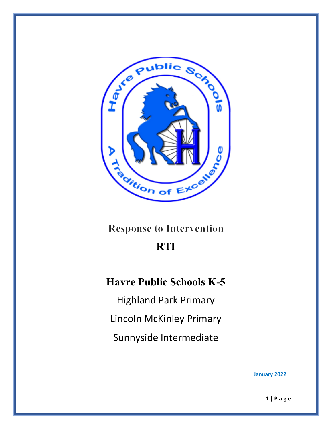

**Response to Intervention** 

## **RTI**

## **Havre Public Schools K-5**

Highland Park Primary Lincoln McKinley Primary Sunnyside Intermediate

**January 2022**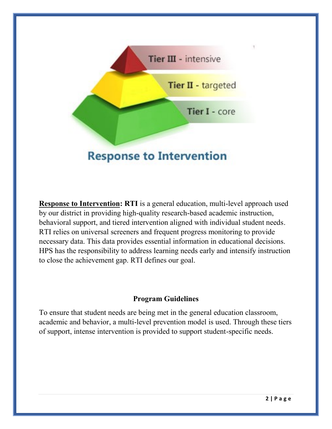

**Response to Intervention: RTI** is a general education, multi-level approach used by our district in providing high-quality research-based academic instruction, behavioral support, and tiered intervention aligned with individual student needs. RTI relies on universal screeners and frequent progress monitoring to provide necessary data. This data provides essential information in educational decisions. HPS has the responsibility to address learning needs early and intensify instruction to close the achievement gap. RTI defines our goal.

## **Program Guidelines**

To ensure that student needs are being met in the general education classroom, academic and behavior, a multi-level prevention model is used. Through these tiers of support, intense intervention is provided to support student-specific needs.